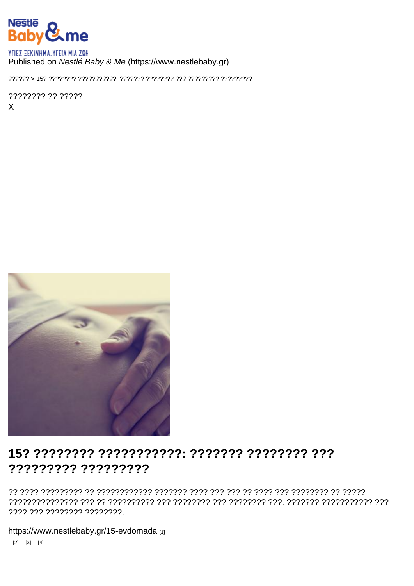## Published on Nestlé Baby & Me (https://www.nestlebaby.gr)

???????? ?? ?????  $\mathsf{X}$ 

# ????????? ?????????

???? ??? ???????? ????????.

https://www.nestlebaby.gr/15-evdomada [1]

 $[2] \quad [3] \quad [4]$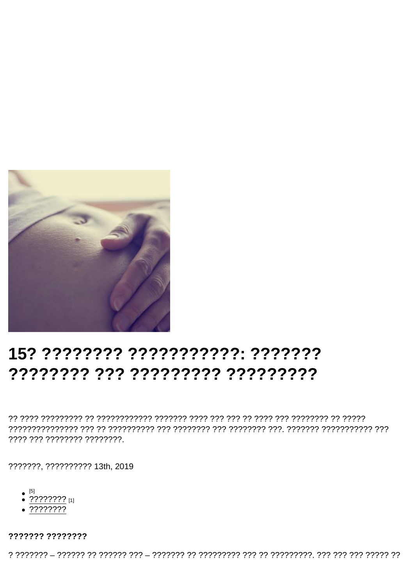# 15? ???????? ??????????? ???????

???? ??? ???????? ????????.

???????, ?????????? 13th, 2019

- $\bullet$  [5]
- $\bullet$  ???????? [1]
- $.77777777$

??????? ????????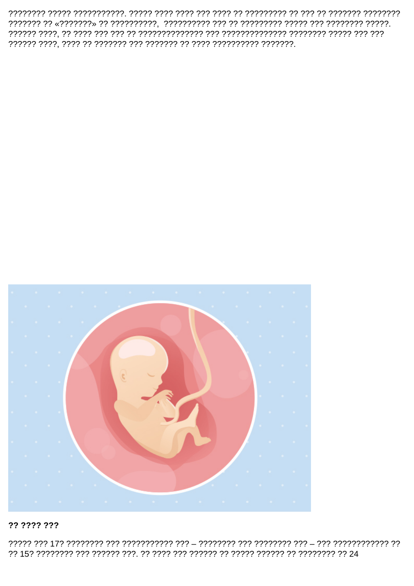

#### ?? ???? ???